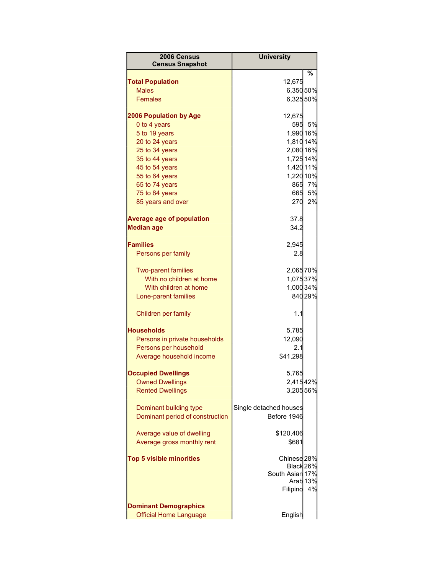| 2006 Census<br><b>Census Snapshot</b> | <b>University</b>      |                     |
|---------------------------------------|------------------------|---------------------|
|                                       |                        | ℅                   |
| <b>Total Population</b>               | 12,675                 |                     |
| <b>Males</b>                          | 6,350 50%              |                     |
| <b>Females</b>                        | 6,32550%               |                     |
| <b>2006 Population by Age</b>         | 12,675                 |                     |
| 0 to 4 years                          | 595                    | 5%                  |
| 5 to 19 years                         | 1,990 16%              |                     |
| 20 to 24 years                        | 1,810 14%              |                     |
| 25 to 34 years                        | 2,080 16%              |                     |
| 35 to 44 years                        | 1,725 14%              |                     |
| 45 to 54 years                        | 1,420 11%              |                     |
| 55 to 64 years                        | 1,220 10%              |                     |
| 65 to 74 years                        |                        | 865 7%              |
| 75 to 84 years                        | 665                    | 5%                  |
| 85 years and over                     | 270                    | 2%                  |
| <b>Average age of population</b>      | 37.8                   |                     |
| <b>Median age</b>                     | 34.2                   |                     |
| <b>Families</b>                       | 2,945                  |                     |
| Persons per family                    | 2.8                    |                     |
|                                       |                        |                     |
| <b>Two-parent families</b>            | 2,06570%               |                     |
| With no children at home              | 1,07537%               |                     |
| With children at home                 | 1,000 34%              |                     |
| Lone-parent families                  |                        | 840 29%             |
| Children per family                   | 1.1                    |                     |
| <b>Households</b>                     | 5,785                  |                     |
| Persons in private households         | 12,090                 |                     |
| Persons per household                 | 2.1                    |                     |
| Average household income              | \$41,298               |                     |
|                                       |                        |                     |
| <b>Occupied Dwellings</b>             | 5,765                  |                     |
| <b>Owned Dwellings</b>                | 2,41542%               |                     |
| <b>Rented Dwellings</b>               | 3,20556%               |                     |
| Dominant building type                | Single detached houses |                     |
| Dominant period of construction       | Before 1946            |                     |
| Average value of dwelling             | \$120,406              |                     |
| Average gross monthly rent            | \$681                  |                     |
|                                       |                        |                     |
| <b>Top 5 visible minorities</b>       | Chinese <sub>28%</sub> |                     |
|                                       | Black 26%              |                     |
|                                       | South Asian 17%        |                     |
|                                       |                        | Arab <sub>13%</sub> |
|                                       | Filipino               | 4%                  |
| <b>Dominant Demographics</b>          |                        |                     |
| <b>Official Home Language</b>         | English                |                     |